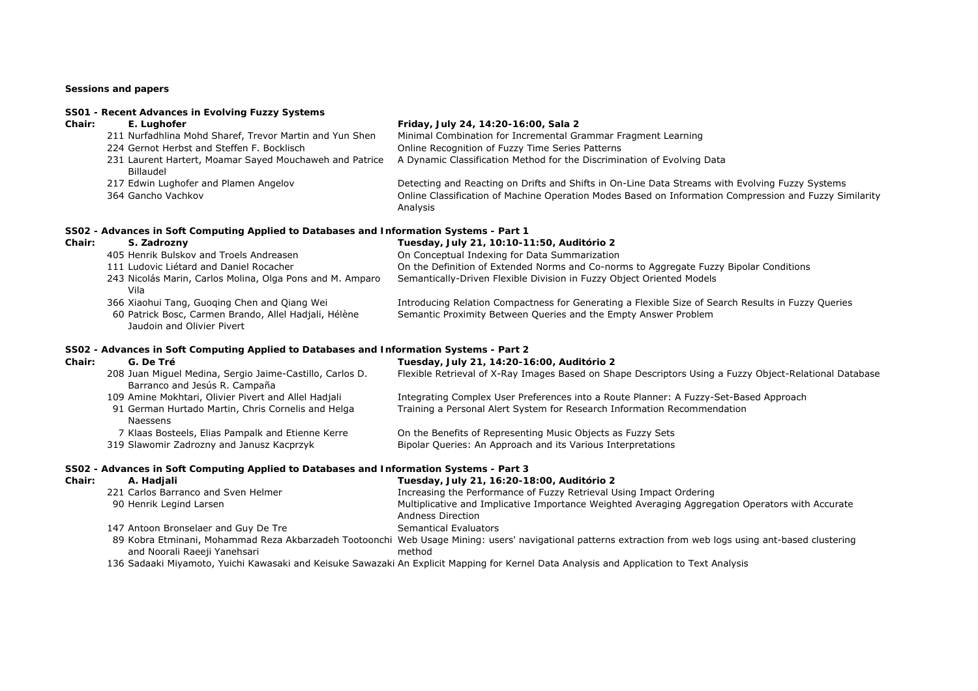# **Sessions and papers**

# **SS01 - Recent Advances in Evolving Fuzzy Systems**

| Chair: | E. Luahofer                                             | Friday, July 24, 14:20-16:00, Sala 2                                                                   |
|--------|---------------------------------------------------------|--------------------------------------------------------------------------------------------------------|
|        | 211 Nurfadhlina Mohd Sharef, Trevor Martin and Yun Shen | Minimal Combination for Incremental Grammar Fragment Learning                                          |
|        | 224 Gernot Herbst and Steffen F. Bocklisch              | Online Recognition of Fuzzy Time Series Patterns                                                       |
|        | 231 Laurent Hartert, Moamar Sayed Mouchaweh and Patrice | A Dynamic Classification Method for the Discrimination of Evolving Data                                |
|        | Billaudel                                               |                                                                                                        |
|        | 217 Edwin Lughofer and Plamen Angelov                   | Detecting and Reacting on Drifts and Shifts in On-Line Data Streams with Evolving Fuzzy Systems        |
|        | 364 Gancho Vachkov                                      | Online Classification of Machine Operation Modes Based on Information Compression and Fuzzy Similarity |

Analysis

# **SS02 - Advances in Soft Computing Applied to Databases and Information Systems - Part 1**

| Chair: | S. Zadrozny                                                                                                                         | Tuesday, July 21, 10:10-11:50, Auditório 2                                                                                                                            |
|--------|-------------------------------------------------------------------------------------------------------------------------------------|-----------------------------------------------------------------------------------------------------------------------------------------------------------------------|
|        | 405 Henrik Bulskov and Troels Andreasen                                                                                             | On Conceptual Indexing for Data Summarization                                                                                                                         |
|        | 111 Ludovic Liétard and Daniel Rocacher                                                                                             | On the Definition of Extended Norms and Co-norms to Aggregate Fuzzy Bipolar Conditions                                                                                |
|        | 243 Nicolás Marin, Carlos Molina, Olga Pons and M. Amparo<br>Vila                                                                   | Semantically-Driven Flexible Division in Fuzzy Object Oriented Models                                                                                                 |
|        | 366 Xiaohui Tang, Guoging Chen and Qiang Wei<br>60 Patrick Bosc, Carmen Brando, Allel Hadjali, Hélène<br>Jaudoin and Olivier Pivert | Introducing Relation Compactness for Generating a Flexible Size of Search Results in Fuzzy Queries<br>Semantic Proximity Between Queries and the Empty Answer Problem |

# **SS02 - Advances in Soft Computing Applied to Databases and Information Systems - Part 2**

| Chair: | G. De Tré                                                                                 | Tuesday, July 21, 14:20-16:00, Auditório 2                                                             |
|--------|-------------------------------------------------------------------------------------------|--------------------------------------------------------------------------------------------------------|
|        | 208 Juan Miguel Medina, Sergio Jaime-Castillo, Carlos D.<br>Barranco and Jesús R. Campaña | Flexible Retrieval of X-Ray Images Based on Shape Descriptors Using a Fuzzy Object-Relational Database |
|        | 109 Amine Mokhtari, Olivier Pivert and Allel Hadjali                                      | Integrating Complex User Preferences into a Route Planner: A Fuzzy-Set-Based Approach                  |
|        | 91 German Hurtado Martin, Chris Cornelis and Helga<br>Naessens                            | Training a Personal Alert System for Research Information Recommendation                               |
|        | 7 Klaas Bosteels, Elias Pampalk and Etienne Kerre                                         | On the Benefits of Representing Music Objects as Fuzzy Sets                                            |
|        | 319 Slawomir Zadrozny and Janusz Kacprzyk                                                 | Bipolar Queries: An Approach and its Various Interpretations                                           |
|        |                                                                                           |                                                                                                        |

# **SS02 - Advances in Soft Computing Applied to Databases and Information Systems - Part 3**

| Chair: | A. Hadiali                           | Tuesday, July 21, 16:20-18:00, Auditório 2                                                                                                                |
|--------|--------------------------------------|-----------------------------------------------------------------------------------------------------------------------------------------------------------|
|        | 221 Carlos Barranco and Sven Helmer  | Increasing the Performance of Fuzzy Retrieval Using Impact Ordering                                                                                       |
|        | 90 Henrik Legind Larsen              | Multiplicative and Implicative Importance Weighted Averaging Aggregation Operators with Accurate                                                          |
|        |                                      | Andness Direction                                                                                                                                         |
|        | 147 Antoon Bronselaer and Guy De Tre | Semantical Evaluators                                                                                                                                     |
|        |                                      | 89 Kobra Etminani, Mohammad Reza Akbarzadeh Tootoonchi Web Usage Mining: users' navigational patterns extraction from web logs using ant-based clustering |
|        | and Noorali Raeeji Yanehsari         | method                                                                                                                                                    |

136 Sadaaki Miyamoto, Yuichi Kawasaki and Keisuke Sawazaki An Explicit Mapping for Kernel Data Analysis and Application to Text Analysis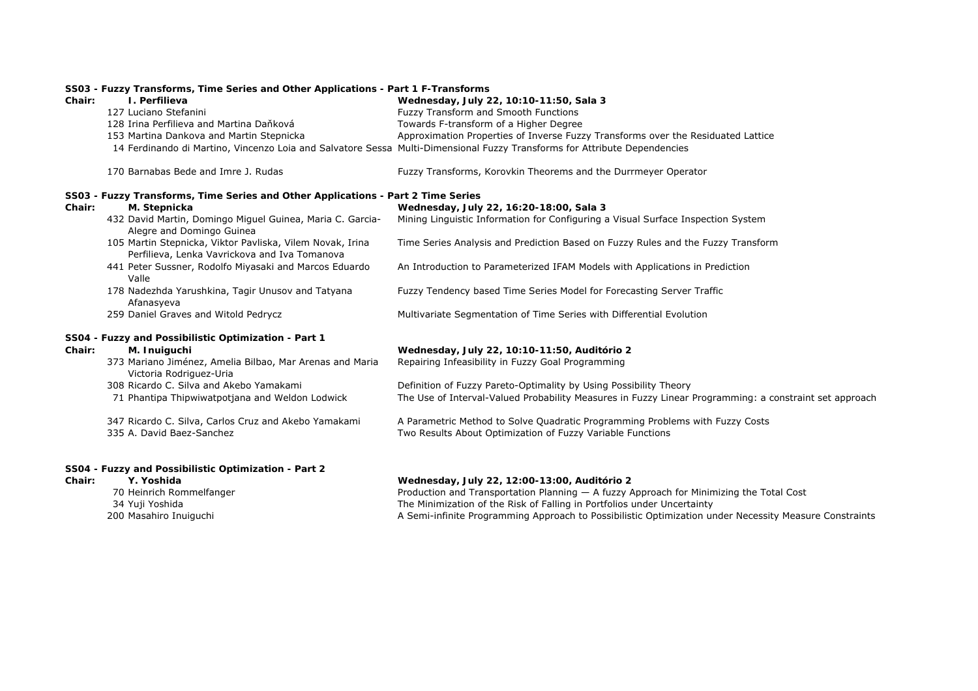# **SS03 - Fuzzy Transforms, Time Series and Other Applications - Part 1 F-Transforms**

| Chair: | I. Perfilieva                                                                                              | Wednesday, July 22, 10:10-11:50, Sala 3                                                                                   |
|--------|------------------------------------------------------------------------------------------------------------|---------------------------------------------------------------------------------------------------------------------------|
|        | 127 Luciano Stefanini                                                                                      | Fuzzy Transform and Smooth Functions                                                                                      |
|        | 128 Irina Perfilieva and Martina Daňková                                                                   | Towards F-transform of a Higher Degree                                                                                    |
|        | 153 Martina Dankova and Martin Stepnicka                                                                   | Approximation Properties of Inverse Fuzzy Transforms over the Residuated Lattice                                          |
|        |                                                                                                            | 14 Ferdinando di Martino, Vincenzo Loia and Salvatore Sessa Multi-Dimensional Fuzzy Transforms for Attribute Dependencies |
|        | 170 Barnabas Bede and Imre J. Rudas                                                                        | Fuzzy Transforms, Korovkin Theorems and the Durrmeyer Operator                                                            |
|        | SS03 - Fuzzy Transforms, Time Series and Other Applications - Part 2 Time Series                           |                                                                                                                           |
| Chair: | M. Stepnicka                                                                                               | Wednesday, July 22, 16:20-18:00, Sala 3                                                                                   |
|        | 432 David Martin, Domingo Miguel Guinea, Maria C. Garcia-<br>Alegre and Domingo Guinea                     | Mining Linguistic Information for Configuring a Visual Surface Inspection System                                          |
|        | 105 Martin Stepnicka, Viktor Pavliska, Vilem Novak, Irina<br>Perfilieva, Lenka Vavrickova and Iva Tomanova | Time Series Analysis and Prediction Based on Fuzzy Rules and the Fuzzy Transform                                          |
|        | 441 Peter Sussner, Rodolfo Miyasaki and Marcos Eduardo<br>Valle                                            | An Introduction to Parameterized IFAM Models with Applications in Prediction                                              |
|        | 178 Nadezhda Yarushkina, Tagir Unusov and Tatyana<br>Afanasyeva                                            | Fuzzy Tendency based Time Series Model for Forecasting Server Traffic                                                     |
|        | 259 Daniel Graves and Witold Pedrycz                                                                       | Multivariate Segmentation of Time Series with Differential Evolution                                                      |
|        | SS04 - Fuzzy and Possibilistic Optimization - Part 1                                                       |                                                                                                                           |
| Chair: | M. Inuiguchi                                                                                               | Wednesday, July 22, 10:10-11:50, Auditório 2                                                                              |
|        | 373 Mariano Jiménez, Amelia Bilbao, Mar Arenas and Maria<br>Victoria Rodriguez-Uria                        | Repairing Infeasibility in Fuzzy Goal Programming                                                                         |
|        | 308 Ricardo C. Silva and Akebo Yamakami                                                                    | Definition of Fuzzy Pareto-Optimality by Using Possibility Theory                                                         |
|        | 71 Phantipa Thipwiwatpotjana and Weldon Lodwick                                                            | The Use of Interval-Valued Probability Measures in Fuzzy Linear Programming: a constraint set approach                    |
|        | 347 Ricardo C. Silva, Carlos Cruz and Akebo Yamakami                                                       | A Parametric Method to Solve Quadratic Programming Problems with Fuzzy Costs                                              |
|        | 335 A. David Baez-Sanchez                                                                                  | Two Results About Optimization of Fuzzy Variable Functions                                                                |

# **SS04 - Fuzzy and Possibilistic Optimization - Part 2**

**Chair: Y. Yoshida Wednesday, July 22, 12:00-13:00, Auditório 2** 70 Heinrich Rommelfanger Transportation and Transportation Planning — A fuzzy Approach for Minimizing the Total Cost<br>34 Yuji Yoshida The Minimization of the Risk of Falling in Portfolios under Uncertainty 34 Yuji Yoshida The Minimization of the Risk of Falling in Portfolios under Uncertainty<br>200 Masahiro Inuiguchi Niel Minimization A Semi-infinite Programming Approach to Possibilistic Optimization un A Semi-infinite Programming Approach to Possibilistic Optimization under Necessity Measure Constraints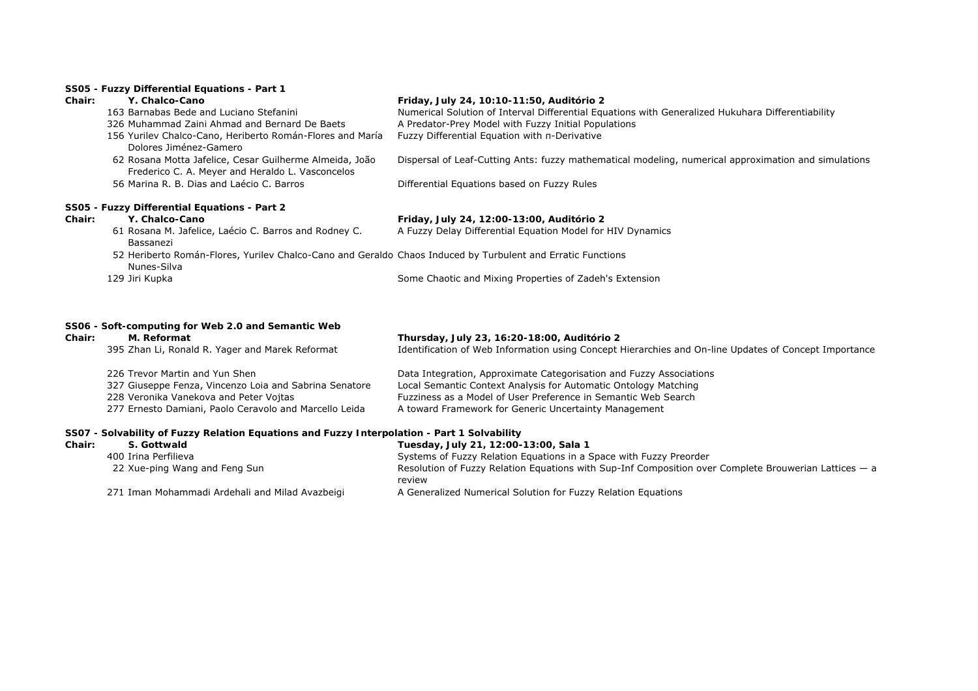### **SS05 - Fuzzy Differential Equations - Part 1**

## **Chair: Y. Chalco-Cano Friday, July 24, 10:10-11:50, Auditório 2**

|        | 163 Barnabas Bede and Luciano Stefanini                                                                                    | Numerical Solution of Interval Differential Equations with Generalized Hukuhara Differentiability    |
|--------|----------------------------------------------------------------------------------------------------------------------------|------------------------------------------------------------------------------------------------------|
|        | 326 Muhammad Zaini Ahmad and Bernard De Baets                                                                              | A Predator-Prey Model with Fuzzy Initial Populations                                                 |
|        | 156 Yurilev Chalco-Cano, Heriberto Román-Flores and María<br>Dolores Jiménez-Gamero                                        | Fuzzy Differential Equation with n-Derivative                                                        |
|        | 62 Rosana Motta Jafelice, Cesar Guilherme Almeida, João<br>Frederico C. A. Meyer and Heraldo L. Vasconcelos                | Dispersal of Leaf-Cutting Ants: fuzzy mathematical modeling, numerical approximation and simulations |
|        | 56 Marina R. B. Dias and Laécio C. Barros                                                                                  | Differential Equations based on Fuzzy Rules                                                          |
|        | SS05 - Fuzzy Differential Equations - Part 2                                                                               |                                                                                                      |
| Chair: | Y. Chalco-Cano                                                                                                             | Friday, July 24, 12:00-13:00, Auditório 2                                                            |
|        | 61 Rosana M. Jafelice, Laécio C. Barros and Rodney C.<br>Bassanezi                                                         | A Fuzzy Delay Differential Equation Model for HIV Dynamics                                           |
|        | 52 Heriberto Román-Flores, Yuriley Chalco-Cano and Geraldo Chaos Induced by Turbulent and Erratic Functions<br>Nunes-Silva |                                                                                                      |
|        | 129 Jiri Kupka                                                                                                             | Some Chaotic and Mixing Properties of Zadeh's Extension                                              |
|        |                                                                                                                            |                                                                                                      |

# **SS06 - Soft-computing for Web 2.0 and Semantic Web**

| Chair: | M. Reformat                                                                                 | Thursday, July 23, 16:20-18:00, Auditório 2                                                           |  |
|--------|---------------------------------------------------------------------------------------------|-------------------------------------------------------------------------------------------------------|--|
|        | 395 Zhan Li, Ronald R. Yager and Marek Reformat                                             | Identification of Web Information using Concept Hierarchies and On-line Updates of Concept Importance |  |
|        | 226 Trevor Martin and Yun Shen                                                              | Data Integration, Approximate Categorisation and Fuzzy Associations                                   |  |
|        | 327 Giuseppe Fenza, Vincenzo Loia and Sabrina Senatore                                      | Local Semantic Context Analysis for Automatic Ontology Matching                                       |  |
|        | 228 Veronika Vanekova and Peter Vojtas                                                      | Fuzziness as a Model of User Preference in Semantic Web Search                                        |  |
|        | 277 Ernesto Damiani, Paolo Ceravolo and Marcello Leida                                      | A toward Framework for Generic Uncertainty Management                                                 |  |
|        |                                                                                             |                                                                                                       |  |
|        | SS07 - Solvability of Euzzy Relation Fquations and Euzzy Interpolation - Part 1 Solvability |                                                                                                       |  |

# **SS07 - Solvability of Fuzzy Relation Equations and Fuzzy Interpolation - Part 1 Solvability**

| Chair: | S. Gottwald                                     | Tuesday, July 21, 12:00-13:00, Sala 1                                                                             |
|--------|-------------------------------------------------|-------------------------------------------------------------------------------------------------------------------|
|        | 400 Irina Perfilieva                            | Systems of Fuzzy Relation Equations in a Space with Fuzzy Preorder                                                |
|        | 22 Xue-ping Wang and Feng Sun                   | Resolution of Fuzzy Relation Equations with Sup-Inf Composition over Complete Brouwerian Lattices $-$ a<br>review |
|        | 271 Iman Mohammadi Ardehali and Milad Avazbeigi | A Generalized Numerical Solution for Fuzzy Relation Equations                                                     |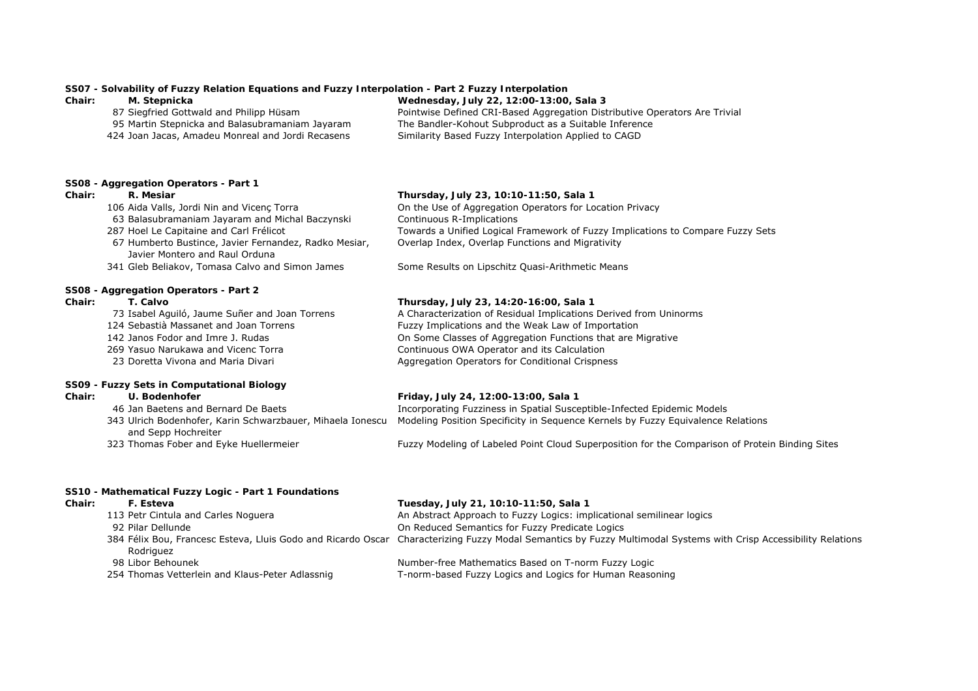# **SS07 - Solvability of Fuzzy Relation Equations and Fuzzy Interpolation - Part 2 Fuzzy Interpolation**

| Chair: | M. Stepnicka                                      | Wednesday, July 22, 12:00-13:00, Sala 3                                    |
|--------|---------------------------------------------------|----------------------------------------------------------------------------|
|        | 87 Siegfried Gottwald and Philipp Hüsam           | Pointwise Defined CRI-Based Aggregation Distributive Operators Are Trivial |
|        | 95 Martin Stepnicka and Balasubramaniam Jayaram   | The Bandler-Kohout Subproduct as a Suitable Inference                      |
|        | 424 Joan Jacas, Amadeu Monreal and Jordi Recasens | Similarity Based Fuzzy Interpolation Applied to CAGD                       |

### **SS08 - Aggregation Operators - Part 1**

# **Chair: R. Mesiar Thursday, July 23, 10:10-11:50, Sala 1**

 Aida Valls, Jordi Nin and Vicenç Torra On the Use of Aggregation Operators for Location Privacy Balasubramaniam Jayaram and Michal Baczynski Continuous R-Implications Hoel Le Capitaine and Carl Frélicot Towards a Unified Logical Framework of Fuzzy Implications to Compare Fuzzy Sets Overlap Index, Overlap Functions and Migrativity

341 Gleb Beliakov, Tomasa Calvo and Simon James Some Results on Lipschitz Quasi-Arithmetic Means

### **SS08 - Aggregation Operators - Part 2 Chair: T. Calvo Thursday, July 23, 14:20-16:00, Sala 1**

73 Isabel Aguiló, Jaume Suñer and Joan Torrens A Characterization of Residual Implications Derived from Uninorms

67 Humberto Bustince, Javier Fernandez, Radko Mesiar,

124 Sebastià Massanet and Joan Torrens Fuzzy Implications and the Weak Law of Importation

Javier Montero and Raul Orduna

- 142 Janos Fodor and Imre J. Rudas On Some Classes of Aggregation Functions that are Migrative
- 269 Yasuo Narukawa and Vicenc Torra Continuous OWA Operator and its Calculation
- 23 Doretta Vivona and Maria Divari **Aggregation Operators for Conditional Crispness**

### **SS09 - Fuzzy Sets in Computational Biology**

# **Chair: U. Bodenhofer Friday, July 24, 12:00-13:00, Sala 1** 46 Jan Baetens and Bernard De Baets Incorporating Fuzziness in Spatial Susceptible-Infected Epidemic Models 343 Ulrich Bodenhofer, Karin Schwarzbauer, Mihaela Ionescu Modeling Position Specificity in Sequence Kernels by Fuzzy Equivalence Relations

- and Sepp Hochreiter
- 

323 Thomas Fober and Eyke Huellermeier Fuzzy Modeling of Labeled Point Cloud Superposition for the Comparison of Protein Binding Sites

## **SS10 - Mathematical Fuzzy Logic - Part 1 Foundations**

# **Chair: F. Esteva Tuesday, July 21, 10:10-11:50, Sala 1** 113 Petr Cintula and Carles Noguera **An Abstract Approach to Fuzzy Logics:** implicational semilinear logics 92 Pilar Dellunde On Reduced Semantics for Fuzzy Predicate Logics

# Rodriguez

- 
- 

384 Félix Bou, Francesc Esteva, Lluis Godo and Ricardo Oscar Characterizing Fuzzy Modal Semantics by Fuzzy Multimodal Systems with Crisp Accessibility Relations

98 Libor Behounek Number-free Mathematics Based on T-norm Fuzzy Logic 254 Thomas Vetterlein and Klaus-Peter Adlassnig T-norm-based Fuzzy Logics and Logics for Human Reasoning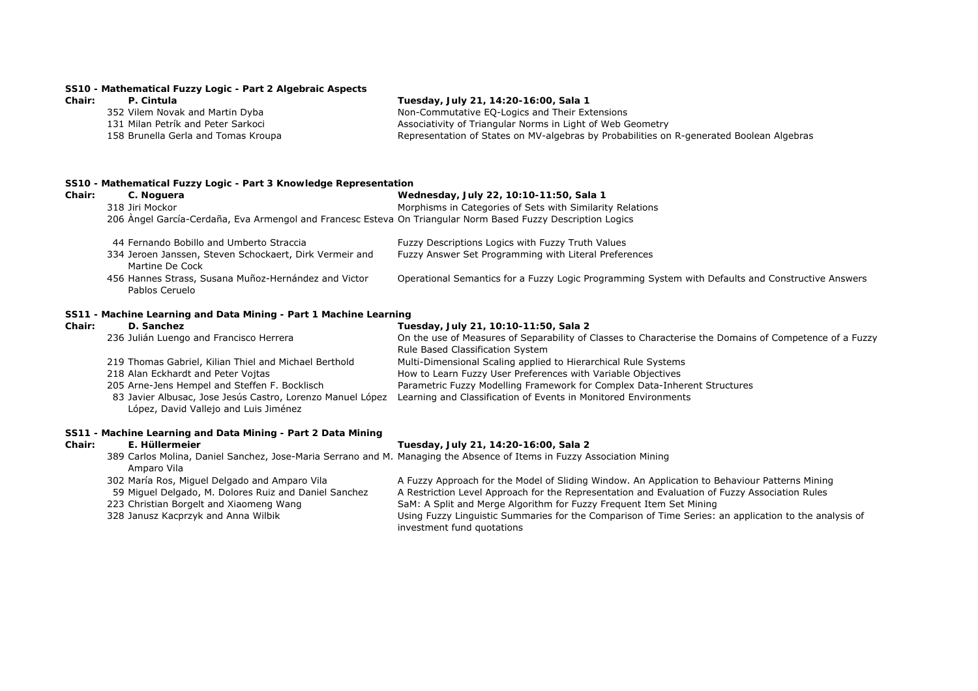# **SS10 - Mathematical Fuzzy Logic - Part 2 Algebraic Aspects**

# **Chair: P. Cintula Tuesday, July 21, 14:20-16:00, Sala 1**

| 352 Vilem Novak and Martin Dyba     | Non-Commutative EQ-Logics and Their Extensions                                           |
|-------------------------------------|------------------------------------------------------------------------------------------|
| 131 Milan Petrík and Peter Sarkoci  | Associativity of Triangular Norms in Light of Web Geometry                               |
| 158 Brunella Gerla and Tomas Kroupa | Representation of States on MV-algebras by Probabilities on R-generated Boolean Algebras |

### **SS10 - Mathematical Fuzzy Logic - Part 3 Knowledge Representation**

| Chair: | C. Noguera                                                                                                   | Wednesday, July 22, 10:10-11:50, Sala 1                                                           |
|--------|--------------------------------------------------------------------------------------------------------------|---------------------------------------------------------------------------------------------------|
|        | 318 Jiri Mockor                                                                                              | Morphisms in Categories of Sets with Similarity Relations                                         |
|        | 206 Angel García-Cerdaña, Eva Armengol and Francesc Esteva On Triangular Norm Based Fuzzy Description Logics |                                                                                                   |
|        | 44 Fernando Bobillo and Umberto Straccia                                                                     | Fuzzy Descriptions Logics with Fuzzy Truth Values                                                 |
|        | 334 Jeroen Janssen, Steven Schockaert, Dirk Vermeir and<br>Martine De Cock                                   | Fuzzy Answer Set Programming with Literal Preferences                                             |
|        | 456 Hannes Strass, Susana Muñoz-Hernández and Victor<br>Pablos Ceruelo                                       | Operational Semantics for a Fuzzy Logic Programming System with Defaults and Constructive Answers |

## **SS11 - Machine Learning and Data Mining - Part 1 Machine Learning**

# **Chair: D. Sanchez Tuesday, July 21, 10:10-11:50, Sala 2** 236 Julián Luengo and Francisco Herrera On the use of Measures of Separability of Classes to Characterise the Domains of Competence of a Fuzzy Rule Based Classification System 219 Thomas Gabriel, Kilian Thiel and Michael Berthold Multi-Dimensional Scaling applied to Hierarchical Rule Systems 218 Alan Eckhardt and Peter Vojtas How to Learn Fuzzy User Preferences with Variable Objectives 205 Arne-Jens Hempel and Steffen F. Bocklisch Parametric Fuzzy Modelling Framework for Complex Data-Inherent Structures 83 Javier Albusac, Jose Jesús Castro, Lorenzo Manuel López Learning and Classification of Events in Monitored Environments López, David Vallejo and Luis Jiménez

# **SS11 - Machine Learning and Data Mining - Part 2 Data Mining**

### **Chair: E. Hüllermeier Tuesday, July 21, 14:20-16:00, Sala 2**

|                                                       | 389 Carlos Molina, Daniel Sanchez, Jose-Maria Serrano and M. Managing the Absence of Items in Fuzzy Association Mining |
|-------------------------------------------------------|------------------------------------------------------------------------------------------------------------------------|
| Amparo Vila                                           |                                                                                                                        |
| 302 María Ros, Miguel Delgado and Amparo Vila         | A Fuzzy Approach for the Model of Sliding Window. An Application to Behaviour Patterns Mining                          |
| 59 Miguel Delgado, M. Dolores Ruiz and Daniel Sanchez | A Restriction Level Approach for the Representation and Evaluation of Fuzzy Association Rules                          |
| 223 Christian Borgelt and Xiaomeng Wang               | SaM: A Split and Merge Algorithm for Fuzzy Frequent Item Set Mining                                                    |

328 Janusz Kacprzyk and Anna Wilbik Using Fuzzy Linguistic Summaries for the Comparison of Time Series: an application to the analysis of investment fund quotations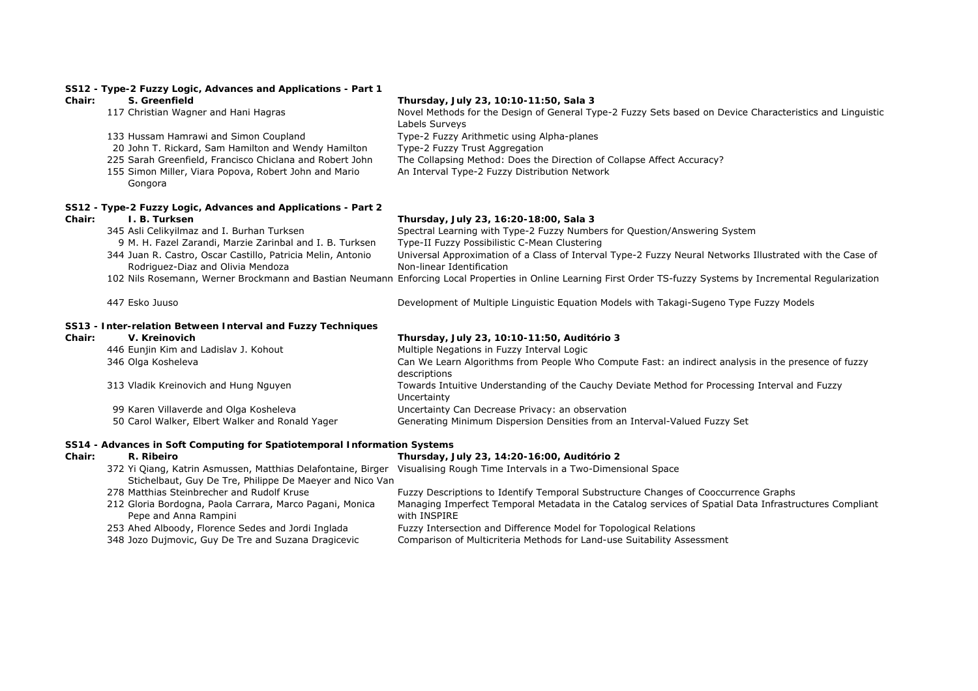|        | SS12 - Type-2 Fuzzy Logic, Advances and Applications - Part 1                                    |                                                                                                                                                                  |
|--------|--------------------------------------------------------------------------------------------------|------------------------------------------------------------------------------------------------------------------------------------------------------------------|
| Chair: | S. Greenfield                                                                                    | Thursday, July 23, 10:10-11:50, Sala 3                                                                                                                           |
|        | 117 Christian Wagner and Hani Hagras                                                             | Novel Methods for the Design of General Type-2 Fuzzy Sets based on Device Characteristics and Linguistic<br>Labels Surveys                                       |
|        | 133 Hussam Hamrawi and Simon Coupland                                                            | Type-2 Fuzzy Arithmetic using Alpha-planes                                                                                                                       |
|        | 20 John T. Rickard, Sam Hamilton and Wendy Hamilton                                              | Type-2 Fuzzy Trust Aggregation                                                                                                                                   |
|        | 225 Sarah Greenfield, Francisco Chiclana and Robert John                                         | The Collapsing Method: Does the Direction of Collapse Affect Accuracy?                                                                                           |
|        | 155 Simon Miller, Viara Popova, Robert John and Mario<br>Gongora                                 | An Interval Type-2 Fuzzy Distribution Network                                                                                                                    |
|        | SS12 - Type-2 Fuzzy Logic, Advances and Applications - Part 2                                    |                                                                                                                                                                  |
| Chair: | I. B. Turksen                                                                                    | Thursday, July 23, 16:20-18:00, Sala 3                                                                                                                           |
|        | 345 Asli Celikyilmaz and I. Burhan Turksen                                                       | Spectral Learning with Type-2 Fuzzy Numbers for Question/Answering System                                                                                        |
|        | 9 M. H. Fazel Zarandi, Marzie Zarinbal and I. B. Turksen                                         | Type-II Fuzzy Possibilistic C-Mean Clustering                                                                                                                    |
|        | 344 Juan R. Castro, Oscar Castillo, Patricia Melin, Antonio<br>Rodriguez-Diaz and Olivia Mendoza | Universal Approximation of a Class of Interval Type-2 Fuzzy Neural Networks Illustrated with the Case of<br>Non-linear Identification                            |
|        |                                                                                                  | 102 Nils Rosemann, Werner Brockmann and Bastian Neumann Enforcing Local Properties in Online Learning First Order TS-fuzzy Systems by Incremental Regularization |
|        | 447 Esko Juuso                                                                                   | Development of Multiple Linguistic Equation Models with Takagi-Sugeno Type Fuzzy Models                                                                          |
|        | SS13 - Inter-relation Between Interval and Fuzzy Techniques                                      |                                                                                                                                                                  |
| Chair: | V. Kreinovich                                                                                    | Thursday, July 23, 10:10-11:50, Auditório 3                                                                                                                      |
|        | 446 Eunjin Kim and Ladislav J. Kohout                                                            | Multiple Negations in Fuzzy Interval Logic                                                                                                                       |
|        | 346 Olga Kosheleva                                                                               | Can We Learn Algorithms from People Who Compute Fast: an indirect analysis in the presence of fuzzy<br>descriptions                                              |
|        | 313 Vladik Kreinovich and Hung Nguyen                                                            | Towards Intuitive Understanding of the Cauchy Deviate Method for Processing Interval and Fuzzy<br>Uncertainty                                                    |
|        | 99 Karen Villaverde and Olga Kosheleva                                                           | Uncertainty Can Decrease Privacy: an observation                                                                                                                 |
|        | 50 Carol Walker, Elbert Walker and Ronald Yager                                                  | Generating Minimum Dispersion Densities from an Interval-Valued Fuzzy Set                                                                                        |
|        | SS14 - Advances in Soft Computing for Spatiotemporal Information Systems                         |                                                                                                                                                                  |
| Chair: | R. Ribeiro                                                                                       | Thursday, July 23, 14:20-16:00, Auditório 2                                                                                                                      |
|        | Stichelbaut, Guy De Tre, Philippe De Maeyer and Nico Van                                         | 372 Yi Qiang, Katrin Asmussen, Matthias Delafontaine, Birger Visualising Rough Time Intervals in a Two-Dimensional Space                                         |
|        | 278 Matthias Steinbrecher and Rudolf Kruse                                                       | Fuzzy Descriptions to Identify Temporal Substructure Changes of Cooccurrence Graphs                                                                              |
|        | 212 Gloria Bordogna, Paola Carrara, Marco Pagani, Monica                                         | Managing Imperfect Temporal Metadata in the Catalog services of Spatial Data Infrastructures Compliant                                                           |

- 212 Gloria Bordogna, Paola Carrara, Marco Pagani, Monica
- Pepe and Anna Rampini<br>253 Ahed Alboody, Florence Sedes and Jordi Inglada<br>348 Jozo Dujmovic, Guy De Tre and Suzana Dragicevic with INSPIRE253 Ahed Alboody, Florence Sedes and Jordi Inglada Fuzzy Intersection and Difference Model for Topological Relations
- 348 Jozo Dujmovic, Guy De Tre and Suzana Dragicevic Comparison of Multicriteria Methods for Land-use Suitability Assessment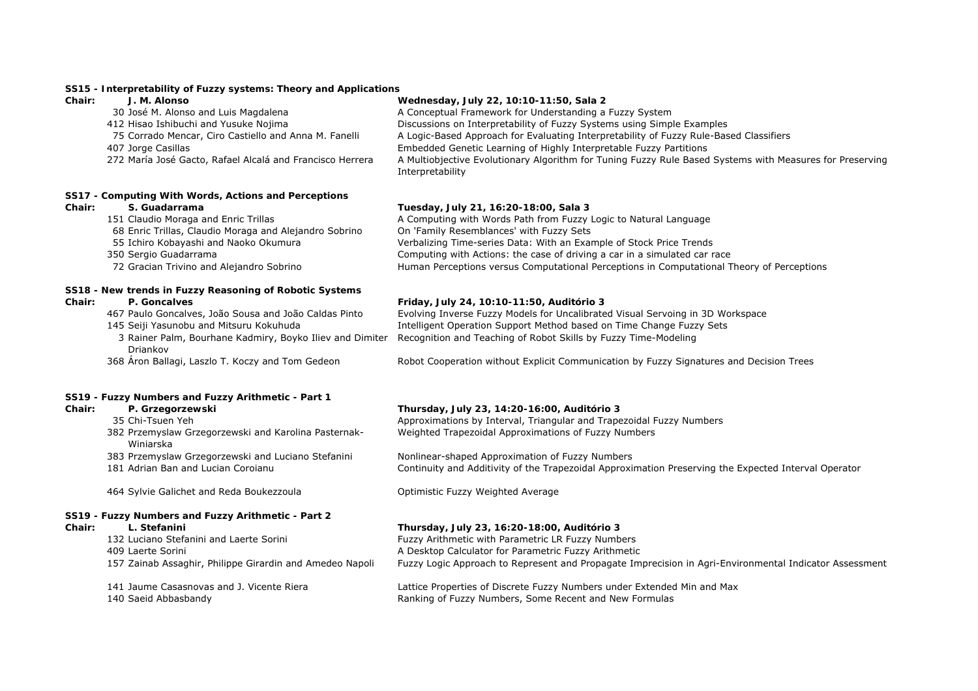## **SS15 - Interpretability of Fuzzy systems: Theory and Applications**

# **Chair: J. M. Alonso Wednesday, July 22, 10:10-11:50, Sala 2**

| 30 José M. Alonso and Luis Magdalena                      | A Conceptual Framework for Understanding a Fuzzy System                                                                      |
|-----------------------------------------------------------|------------------------------------------------------------------------------------------------------------------------------|
| 412 Hisao Ishibuchi and Yusuke Nojima                     | Discussions on Interpretability of Fuzzy Systems using Simple Examples                                                       |
| 75 Corrado Mencar, Ciro Castiello and Anna M. Fanelli     | A Logic-Based Approach for Evaluating Interpretability of Fuzzy Rule-Based Classifiers                                       |
| 407 Jorge Casillas                                        | Embedded Genetic Learning of Highly Interpretable Fuzzy Partitions                                                           |
| 272 María José Gacto, Rafael Alcalá and Francisco Herrera | A Multiobjective Evolutionary Algorithm for Tuning Fuzzy Rule Based Systems with Measures for Preserving<br>Interpretability |

## **SS17 - Computing With Words, Actions and Perceptions**

- 
- 68 Enric Trillas, Claudio Moraga and Alejandro Sobrino On 'Family Resemblances' with Fuzzy Sets
- 
- 
- 

# **SS18 - New trends in Fuzzy Reasoning of Robotic Systems**

- 
- 
- 3 Rainer Palm, Bourhane Kadmiry, Boyko Iliev and Dimiter Recognition and Teaching of Robot Skills by Fuzzy Time-Modeling Driankov
- 

# **SS19 - Fuzzy Numbers and Fuzzy Arithmetic - Part 1**

- 
- 382 Przemyslaw Grzegorzewski and Karolina Pasternak-Winiarska
- 
- 

464 Sylvie Galichet and Reda Boukezzoula Optimistic Fuzzy Weighted Average

# **SS19 - Fuzzy Numbers and Fuzzy Arithmetic - Part 2**

132 Luciano Stefanini and Laerte Sorini Fuzzy Arithmetic with Parametric LR Fuzzy Numbers 409 Laerte Sorini A Desktop Calculator for Parametric Fuzzy Arithmetic

# **Chair: S. Guadarrama Tuesday, July 21, 16:20-18:00, Sala 3**

151 Claudio Moraga and Enric Trillas **A** Computing with Words Path from Fuzzy Logic to Natural Language Ichiro Kobayashi and Naoko Okumura Verbalizing Time-series Data: With an Example of Stock Price Trends Sergio Guadarrama Computing with Actions: the case of driving a car in a simulated car race Gracian Trivino and Alejandro Sobrino Human Perceptions versus Computational Perceptions in Computational Theory of Perceptions

# **Chair: P. Goncalves Friday, July 24, 10:10-11:50, Auditório 3**

467 Paulo Goncalves, João Sousa and João Caldas Pinto Evolving Inverse Fuzzy Models for Uncalibrated Visual Servoing in 3D Workspace 145 Seiji Yasunobu and Mitsuru Kokuhuda Intelligent Operation Support Method based on Time Change Fuzzy Sets

<sup>368</sup> Áron Ballagi, Laszlo T. Koczy and Tom Gedeon Robot Cooperation without Explicit Communication by Fuzzy Signatures and Decision Trees

### **Chair: P. Grzegorzewski Thursday, July 23, 14:20-16:00, Auditório 3**

35 Chi-Tsuen Yeh Approximations by Interval, Triangular and Trapezoidal Fuzzy Numbers Weighted Trapezoidal Approximations of Fuzzy Numbers

383 Przemyslaw Grzegorzewski and Luciano Stefanini Nonlinear-shaped Approximation of Fuzzy Numbers 181 Adrian Ban and Lucian Coroianu Continuity and Additivity of the Trapezoidal Approximation Preserving the Expected Interval Operator

# **Chair: L. Stefanini Thursday, July 23, 16:20-18:00, Auditório 3**

157 Zainab Assaghir, Philippe Girardin and Amedeo Napoli Fuzzy Logic Approach to Represent and Propagate Imprecision in Agri-Environmental Indicator Assessment

141 Jaume Casasnovas and J. Vicente Riera Lattice Properties of Discrete Fuzzy Numbers under Extended Min and Max 140 Saeid Abbasbandy Ranking of Fuzzy Numbers, Some Recent and New Formulas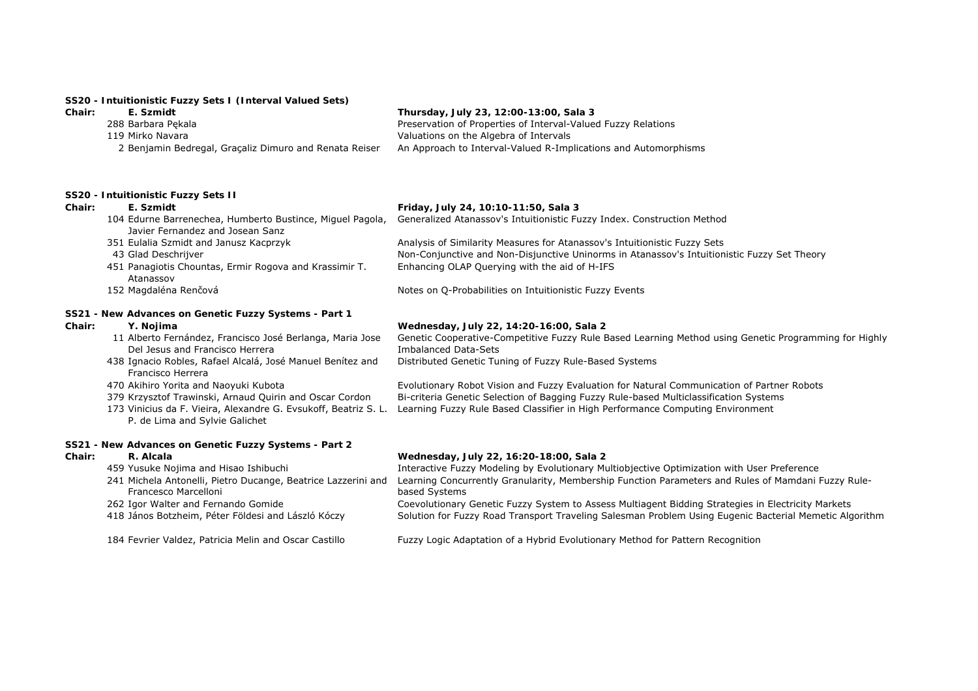# **SS20 - Intuitionistic Fuzzy Sets I (Interval Valued Sets)**

| Chair: | E. Szmidt                                              | Thursday, July 23, 12:00-13:00, Sala 3                          |
|--------|--------------------------------------------------------|-----------------------------------------------------------------|
|        | 288 Barbara Pekala                                     | Preservation of Properties of Interval-Valued Fuzzy Relations   |
|        | 119 Mirko Navara                                       | Valuations on the Algebra of Intervals                          |
|        | 2 Benjamin Bedregal, Graçaliz Dimuro and Renata Reiser | An Approach to Interval-Valued R-Implications and Automorphisms |

# **SS20 - Intuitionistic Fuzzy Sets II**

| Chair:        | E. Szmidt                                                                                         | Friday, July 24, 10:10-11:50, Sala 3                                                                                                 |
|---------------|---------------------------------------------------------------------------------------------------|--------------------------------------------------------------------------------------------------------------------------------------|
|               | 104 Edurne Barrenechea, Humberto Bustince, Miguel Pagola,<br>Javier Fernandez and Josean Sanz     | Generalized Atanassov's Intuitionistic Fuzzy Index. Construction Method                                                              |
|               | 351 Eulalia Szmidt and Janusz Kacprzyk                                                            | Analysis of Similarity Measures for Atanassov's Intuitionistic Fuzzy Sets                                                            |
|               | 43 Glad Deschrijver                                                                               | Non-Conjunctive and Non-Disjunctive Uninorms in Atanassov's Intuitionistic Fuzzy Set Theory                                          |
|               | 451 Panagiotis Chountas, Ermir Rogova and Krassimir T.<br>Atanassov                               | Enhancing OLAP Querying with the aid of H-IFS                                                                                        |
|               | 152 Magdaléna Renčová                                                                             | Notes on Q-Probabilities on Intuitionistic Fuzzy Events                                                                              |
|               | SS21 - New Advances on Genetic Fuzzy Systems - Part 1                                             |                                                                                                                                      |
| Chair:        | Y. Nojima                                                                                         | Wednesday, July 22, 14:20-16:00, Sala 2                                                                                              |
|               | 11 Alberto Fernández, Francisco José Berlanga, Maria Jose<br>Del Jesus and Francisco Herrera      | Genetic Cooperative-Competitive Fuzzy Rule Based Learning Method using Genetic Programming for Highly<br><b>Imbalanced Data-Sets</b> |
|               | 438 Ignacio Robles, Rafael Alcalá, José Manuel Benítez and<br>Francisco Herrera                   | Distributed Genetic Tuning of Fuzzy Rule-Based Systems                                                                               |
|               | 470 Akihiro Yorita and Naoyuki Kubota                                                             | Evolutionary Robot Vision and Fuzzy Evaluation for Natural Communication of Partner Robots                                           |
|               | 379 Krzysztof Trawinski, Arnaud Quirin and Oscar Cordon                                           | Bi-criteria Genetic Selection of Bagging Fuzzy Rule-based Multiclassification Systems                                                |
|               | 173 Vinicius da F. Vieira, Alexandre G. Evsukoff, Beatriz S. L.<br>P. de Lima and Sylvie Galichet | Learning Fuzzy Rule Based Classifier in High Performance Computing Environment                                                       |
|               | SS21 - New Advances on Genetic Fuzzy Systems - Part 2                                             |                                                                                                                                      |
| <b>Chair:</b> | R. Alcala                                                                                         | Wednesday, July 22, 16:20-18:00, Sala 2                                                                                              |
|               | 459 Yusuke Nojima and Hisao Ishibuchi                                                             | Interactive Fuzzy Modeling by Evolutionary Multiobjective Optimization with User Preference                                          |
|               | 241 Michela Antonelli, Pietro Ducange, Beatrice Lazzerini and<br>Francesco Marcelloni             | Learning Concurrently Granularity, Membership Function Parameters and Rules of Mamdani Fuzzy Rule-<br>based Systems                  |
|               | 262 Igor Walter and Fernando Gomide                                                               | Coevolutionary Genetic Fuzzy System to Assess Multiagent Bidding Strategies in Electricity Markets                                   |
|               | 418 János Botzheim, Péter Földesi and László Kóczy                                                | Solution for Fuzzy Road Transport Traveling Salesman Problem Using Eugenic Bacterial Memetic Algorithm                               |
|               | 184 Fevrier Valdez, Patricia Melin and Oscar Castillo                                             | Fuzzy Logic Adaptation of a Hybrid Evolutionary Method for Pattern Recognition                                                       |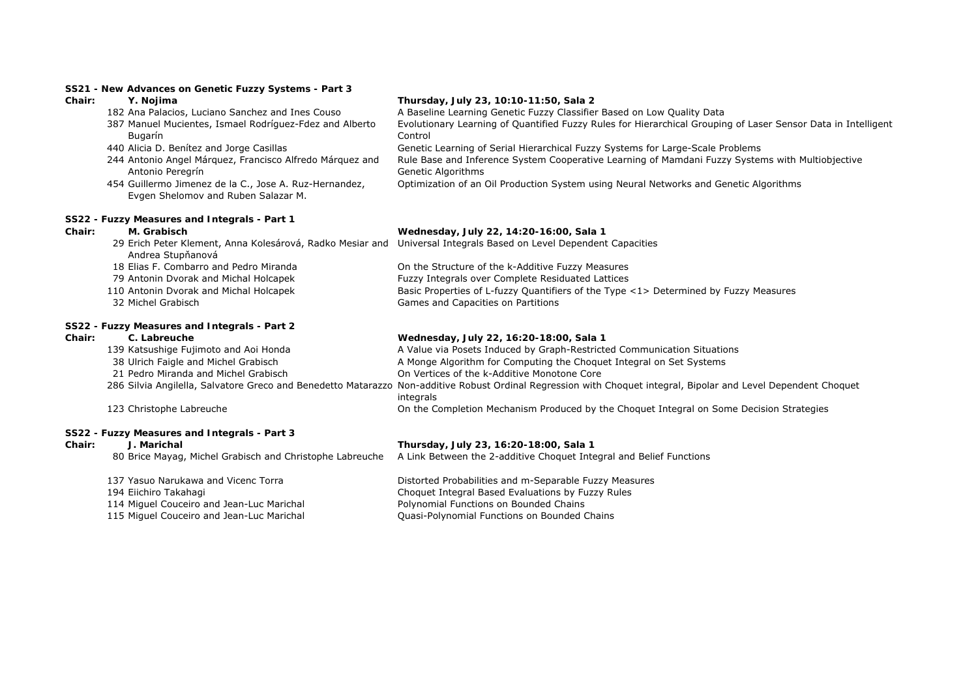# **SS21 - New Advances on Genetic Fuzzy Systems - Part 3**

- 
- 387 Manuel Mucientes, Ismael Rodríguez-Fdez and Alberto Bugarín
- 
- 244 Antonio Angel Márquez, Francisco Alfredo Márquez and Antonio Peregrín
- 454 Guillermo Jimenez de la C., Jose A. Ruz-Hernandez, Evgen Shelomov and Ruben Salazar M.

### **SS22 - Fuzzy Measures and Integrals - Part 1**

# **Chair: Y. Nojima Thursday, July 23, 10:10-11:50, Sala 2**

182 Ana Palacios, Luciano Sanchez and Ines Couso A Baseline Learning Genetic Fuzzy Classifier Based on Low Quality Data Evolutionary Learning of Quantified Fuzzy Rules for Hierarchical Grouping of Laser Sensor Data in Intelligent Control440 Alicia D. Benítez and Jorge Casillas Genetic Learning of Serial Hierarchical Fuzzy Systems for Large-Scale Problems Rule Base and Inference System Cooperative Learning of Mamdani Fuzzy Systems with Multiobjective Genetic Algorithms

Optimization of an Oil Production System using Neural Networks and Genetic Algorithms

# **Chair: M. Grabisch Wednesday, July 22, 14:20-16:00, Sala 1**

|        | 29 Erich Peter Klement, Anna Kolesárová, Radko Mesiar and Universal Integrals Based on Level Dependent Capacities<br>Andrea Stupňanová |                                                                                      |
|--------|----------------------------------------------------------------------------------------------------------------------------------------|--------------------------------------------------------------------------------------|
|        | 18 Elias F. Combarro and Pedro Miranda                                                                                                 | On the Structure of the k-Additive Fuzzy Measures                                    |
|        | 79 Antonin Dvorak and Michal Holcapek                                                                                                  | Fuzzy Integrals over Complete Residuated Lattices                                    |
|        | 110 Antonin Dvorak and Michal Holcapek                                                                                                 | Basic Properties of L-fuzzy Quantifiers of the Type <1> Determined by Fuzzy Measures |
|        | 32 Michel Grabisch                                                                                                                     | Games and Capacities on Partitions                                                   |
|        | SS22 - Fuzzy Measures and Integrals - Part 2                                                                                           |                                                                                      |
| Chair: | C. Labreuche                                                                                                                           | Wednesday, July 22, 16:20-18:00, Sala 1                                              |

- 139 Katsushige Fujimoto and Aoi Honda A Value via Posets Induced by Graph-Restricted Communication Situations
- 38 Ulrich Faigle and Michel Grabisch A Monge Algorithm for Computing the Choquet Integral on Set Systems
- 21 Pedro Miranda and Michel Grabisch On Vertices of the k-Additive Monotone Core
- 286 Silvia Angilella, Salvatore Greco and Benedetto Matarazzo Non-additive Robust Ordinal Regression with Choquet integral, Bipolar and Level Dependent Choquet integrals 123 Christophe Labreuche On the Completion Mechanism Produced by the Choquet Integral on Some Decision Strategies
- 

**SS22 - Fuzzy Measures and Integrals - Part 3**

# **Chair: J. Marichal Thursday, July 23, 16:20-18:00, Sala 1**

80 Brice Mayag, Michel Grabisch and Christophe Labreuche A Link Between the 2-additive Choquet Integral and Belief Functions

 Yasuo Narukawa and Vicenc Torra Distorted Probabilities and m-Separable Fuzzy Measures Eiichiro Takahagi Choquet Integral Based Evaluations by Fuzzy Rules 114 Miguel Couceiro and Jean-Luc Marichal **Polynomial Functions on Bounded Chains** Miguel Couceiro and Jean-Luc Marichal Quasi-Polynomial Functions on Bounded Chains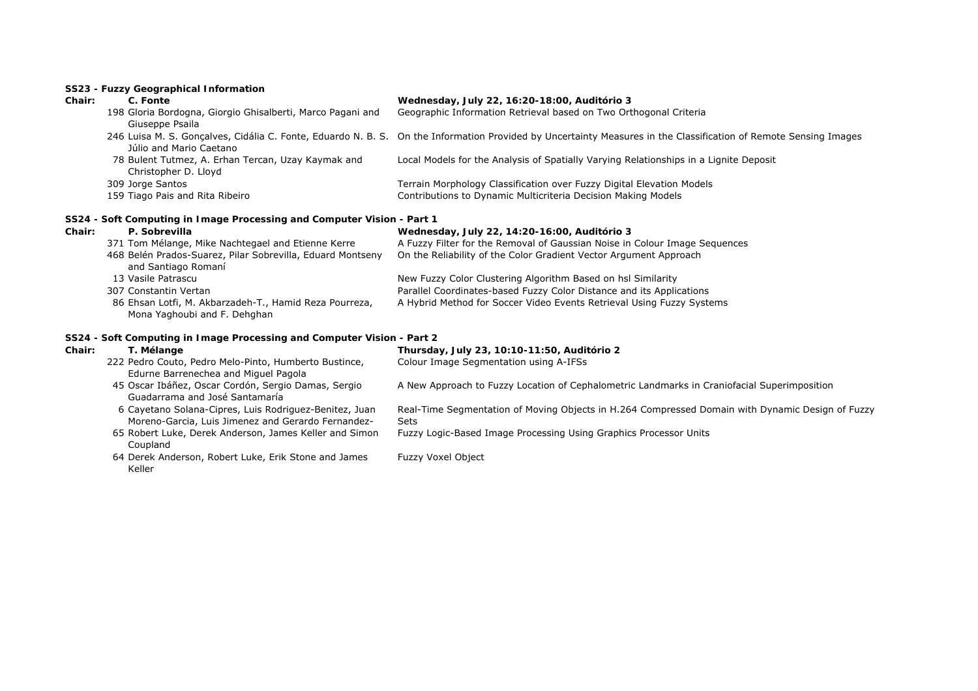# **SS23 - Fuzzy Geographical Information**

| Chair: | C. Fonte                                                                                                     | Wednesday, July 22, 16:20-18:00, Auditório 3                                                                                                                     |
|--------|--------------------------------------------------------------------------------------------------------------|------------------------------------------------------------------------------------------------------------------------------------------------------------------|
|        | 198 Gloria Bordogna, Giorgio Ghisalberti, Marco Pagani and<br>Giuseppe Psaila                                | Geographic Information Retrieval based on Two Orthogonal Criteria                                                                                                |
|        | Júlio and Mario Caetano                                                                                      | 246 Luisa M. S. Gonçalves, Cidália C. Fonte, Eduardo N. B. S. On the Information Provided by Uncertainty Measures in the Classification of Remote Sensing Images |
|        | 78 Bulent Tutmez, A. Erhan Tercan, Uzay Kaymak and<br>Christopher D. Lloyd                                   | Local Models for the Analysis of Spatially Varying Relationships in a Lignite Deposit                                                                            |
|        | 309 Jorge Santos                                                                                             | Terrain Morphology Classification over Fuzzy Digital Elevation Models                                                                                            |
|        | 159 Tiago Pais and Rita Ribeiro                                                                              | Contributions to Dynamic Multicriteria Decision Making Models                                                                                                    |
|        | SS24 - Soft Computing in Image Processing and Computer Vision - Part 1                                       |                                                                                                                                                                  |
| Chair: | P. Sobrevilla                                                                                                | Wednesday, July 22, 14:20-16:00, Auditório 3                                                                                                                     |
|        | 371 Tom Mélange, Mike Nachtegael and Etienne Kerre                                                           | A Fuzzy Filter for the Removal of Gaussian Noise in Colour Image Sequences                                                                                       |
|        | 468 Belén Prados-Suarez, Pilar Sobrevilla, Eduard Montseny<br>and Santiago Romaní                            | On the Reliability of the Color Gradient Vector Argument Approach                                                                                                |
|        | 13 Vasile Patrascu                                                                                           | New Fuzzy Color Clustering Algorithm Based on hsl Similarity                                                                                                     |
|        | 307 Constantin Vertan                                                                                        | Parallel Coordinates-based Fuzzy Color Distance and its Applications                                                                                             |
|        | 86 Ehsan Lotfi, M. Akbarzadeh-T., Hamid Reza Pourreza,<br>Mona Yaghoubi and F. Dehghan                       | A Hybrid Method for Soccer Video Events Retrieval Using Fuzzy Systems                                                                                            |
|        | SS24 - Soft Computing in Image Processing and Computer Vision - Part 2                                       |                                                                                                                                                                  |
| Chair: | T. Mélange                                                                                                   | Thursday, July 23, 10:10-11:50, Auditório 2                                                                                                                      |
|        | 222 Pedro Couto, Pedro Melo-Pinto, Humberto Bustince,<br>Edurne Barrenechea and Miguel Pagola                | Colour Image Segmentation using A-IFSs                                                                                                                           |
|        | 45 Oscar Ibáñez, Oscar Cordón, Sergio Damas, Sergio<br>Guadarrama and José Santamaría                        | A New Approach to Fuzzy Location of Cephalometric Landmarks in Craniofacial Superimposition                                                                      |
|        | 6 Cayetano Solana-Cipres, Luis Rodriguez-Benitez, Juan<br>Moreno-Garcia, Luis Jimenez and Gerardo Fernandez- | Real-Time Segmentation of Moving Objects in H.264 Compressed Domain with Dynamic Design of Fuzzy<br><b>Sets</b>                                                  |
|        | 65 Robert Luke, Derek Anderson, James Keller and Simon<br>Coupland                                           | Fuzzy Logic-Based Image Processing Using Graphics Processor Units                                                                                                |
|        | 64 Derek Anderson, Robert Luke, Erik Stone and James<br>Keller                                               | <b>Fuzzy Voxel Object</b>                                                                                                                                        |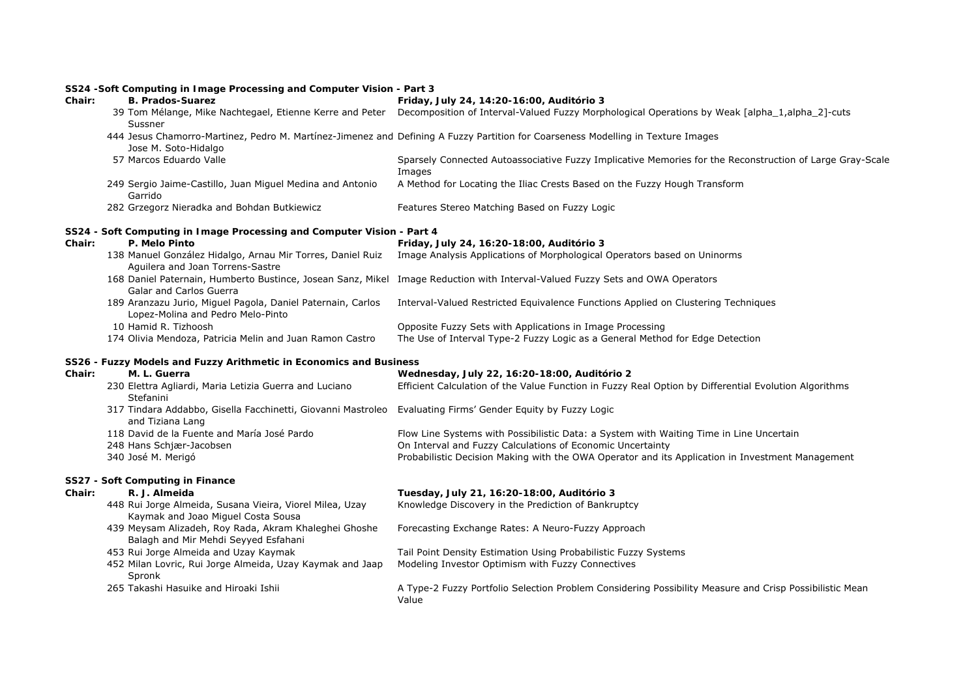# **SS24 -Soft Computing in Image Processing and Computer Vision - Part 3**

| Chair: | <b>B. Prados-Suarez</b>                                                                                                         | Friday, July 24, 14:20-16:00, Auditório 3                                                                                        |
|--------|---------------------------------------------------------------------------------------------------------------------------------|----------------------------------------------------------------------------------------------------------------------------------|
|        | 39 Tom Mélange, Mike Nachtegael, Etienne Kerre and Peter<br>Sussner                                                             | Decomposition of Interval-Valued Fuzzy Morphological Operations by Weak [alpha_1,alpha_2]-cuts                                   |
|        | Jose M. Soto-Hidalgo                                                                                                            | 444 Jesus Chamorro-Martinez, Pedro M. Martínez-Jimenez and Defining A Fuzzy Partition for Coarseness Modelling in Texture Images |
|        | 57 Marcos Eduardo Valle                                                                                                         | Sparsely Connected Autoassociative Fuzzy Implicative Memories for the Reconstruction of Large Gray-Scale<br>Images               |
|        | 249 Sergio Jaime-Castillo, Juan Miguel Medina and Antonio<br>Garrido                                                            | A Method for Locating the Iliac Crests Based on the Fuzzy Hough Transform                                                        |
|        | 282 Grzegorz Nieradka and Bohdan Butkiewicz                                                                                     | Features Stereo Matching Based on Fuzzy Logic                                                                                    |
|        | SS24 - Soft Computing in Image Processing and Computer Vision - Part 4                                                          |                                                                                                                                  |
| Chair: | P. Melo Pinto                                                                                                                   | Friday, July 24, 16:20-18:00, Auditório 3                                                                                        |
|        | 138 Manuel González Hidalgo, Arnau Mir Torres, Daniel Ruiz<br>Aguilera and Joan Torrens-Sastre                                  | Image Analysis Applications of Morphological Operators based on Uninorms                                                         |
|        | Galar and Carlos Guerra                                                                                                         | 168 Daniel Paternain, Humberto Bustince, Josean Sanz, Mikel Image Reduction with Interval-Valued Fuzzy Sets and OWA Operators    |
|        | 189 Aranzazu Jurio, Miguel Pagola, Daniel Paternain, Carlos<br>Lopez-Molina and Pedro Melo-Pinto                                | Interval-Valued Restricted Equivalence Functions Applied on Clustering Techniques                                                |
|        | 10 Hamid R. Tizhoosh                                                                                                            | Opposite Fuzzy Sets with Applications in Image Processing                                                                        |
|        | 174 Olivia Mendoza, Patricia Melin and Juan Ramon Castro                                                                        | The Use of Interval Type-2 Fuzzy Logic as a General Method for Edge Detection                                                    |
|        | SS26 - Fuzzy Models and Fuzzy Arithmetic in Economics and Business                                                              |                                                                                                                                  |
| Chair: | M. L. Guerra                                                                                                                    | Wednesday, July 22, 16:20-18:00, Auditório 2                                                                                     |
|        | 230 Elettra Agliardi, Maria Letizia Guerra and Luciano<br>Stefanini                                                             | Efficient Calculation of the Value Function in Fuzzy Real Option by Differential Evolution Algorithms                            |
|        | 317 Tindara Addabbo, Gisella Facchinetti, Giovanni Mastroleo Evaluating Firms' Gender Equity by Fuzzy Logic<br>and Tiziana Lang |                                                                                                                                  |

and Tiziana Lang<br>118 David de la Fuente and María José Pardo Flow Line Systems with Possibilistic Data: a System with Waiting Time in Line Uncertain 248 Hans Schjær-Jacobsen On Interval and Fuzzy Calculations of Economic Uncertainty Probabilistic Decision Making with the OWA Operator and its Application in Investment Management

# **SS27 - Soft Computing in Finance**

| Chair: | R. J. Almeida                                                                                  | Tuesday, July 21, 16:20-18:00, Auditório 3                                                                       |
|--------|------------------------------------------------------------------------------------------------|------------------------------------------------------------------------------------------------------------------|
|        | 448 Rui Jorge Almeida, Susana Vieira, Viorel Milea, Uzay<br>Kaymak and Joao Miguel Costa Sousa | Knowledge Discovery in the Prediction of Bankruptcy                                                              |
|        | 439 Meysam Alizadeh, Roy Rada, Akram Khaleghei Ghoshe<br>Balagh and Mir Mehdi Seyyed Esfahani  | Forecasting Exchange Rates: A Neuro-Fuzzy Approach                                                               |
|        | 453 Rui Jorge Almeida and Uzay Kaymak                                                          | Tail Point Density Estimation Using Probabilistic Fuzzy Systems                                                  |
|        | 452 Milan Lovric, Rui Jorge Almeida, Uzay Kaymak and Jaap<br>Spronk                            | Modeling Investor Optimism with Fuzzy Connectives                                                                |
|        | 265 Takashi Hasuike and Hiroaki Ishii                                                          | A Type-2 Fuzzy Portfolio Selection Problem Considering Possibility Measure and Crisp Possibilistic Mean<br>Value |
|        |                                                                                                |                                                                                                                  |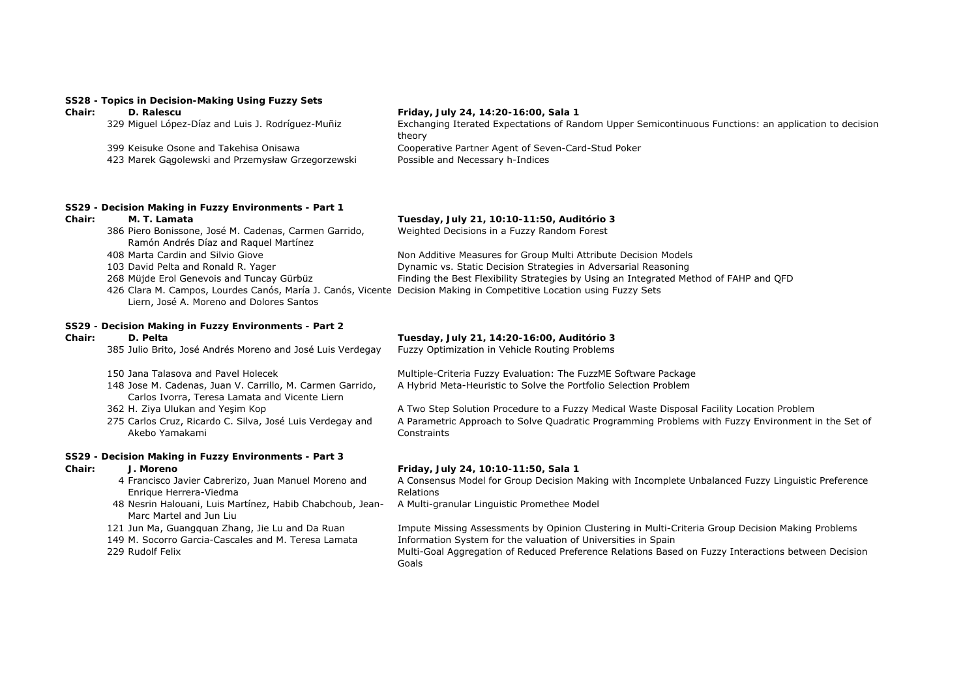# **SS28 - Topics in Decision-Making Using Fuzzy Sets**

|        | 3320 - TODICS III DECISION-MANING OSING I UZZY JETS                                            |                                                                                                                 |
|--------|------------------------------------------------------------------------------------------------|-----------------------------------------------------------------------------------------------------------------|
| Chair: | D. Ralescu                                                                                     | Friday, July 24, 14:20-16:00, Sala 1                                                                            |
|        | 329 Miguel López-Díaz and Luis J. Rodríguez-Muñiz                                              | Exchanging Iterated Expectations of Random Upper Semicontinuous Functions: an application to decision<br>theory |
|        | 399 Keisuke Osone and Takehisa Onisawa                                                         | Cooperative Partner Agent of Seven-Card-Stud Poker                                                              |
|        | 423 Marek Gagolewski and Przemysław Grzegorzewski                                              | Possible and Necessary h-Indices                                                                                |
| Chair: | SS29 - Decision Making in Fuzzy Environments - Part 1<br>M. T. Lamata                          | Tuesday, July 21, 10:10-11:50, Auditório 3                                                                      |
|        | 386 Piero Bonissone, José M. Cadenas, Carmen Garrido,<br>Ramón Andrés Díaz and Raguel Martínez | Weighted Decisions in a Fuzzy Random Forest                                                                     |
|        | 408 Marta Cardin and Silvio Giove                                                              | Non Additive Measures for Group Multi Attribute Decision Models                                                 |
|        | 103 David Pelta and Ronald R. Yager                                                            | Dynamic vs. Static Decision Strategies in Adversarial Reasoning                                                 |
|        | 268 Müjde Erol Genevois and Tuncay Gürbüz                                                      | Finding the Best Flexibility Strategies by Using an Integrated Method of FAHP and OFD                           |

Liern, José A. Moreno and Dolores Santos

# **SS29 - Decision Making in Fuzzy Environments - Part 2**

| Chair: | D. Pelta |                                                            | Tuesday, July 21, 14:20-16:00, Auditório 3     |  |
|--------|----------|------------------------------------------------------------|------------------------------------------------|--|
|        |          | 385 Julio Brito, José Andrés Moreno and José Luis Verdegay | Fuzzy Optimization in Vehicle Routing Problems |  |

426 Clara M. Campos, Lourdes Canós, María J. Canós, Vicente Decision Making in Competitive Location using Fuzzy Sets

150 Jana Talasova and Pavel Holecek Multiple-Criteria Fuzzy Evaluation: The FuzzME Software Package

- 148 Jose M. Cadenas, Juan V. Carrillo, M. Carmen Garrido, Carlos Ivorra, Teresa Lamata and Vicente Liern
- 
- 275 Carlos Cruz, Ricardo C. Silva, José Luis Verdegay and Akebo Yamakami

### **SS29 - Decision Making in Fuzzy Environments - Part 3**

- 4 Francisco Javier Cabrerizo, Juan Manuel Moreno and Enrique Herrera-Viedma
- 48 Nesrin Halouani, Luis Martínez, Habib Chabchoub, Jean-Marc Martel and Jun Liu
- 

A Hybrid Meta-Heuristic to Solve the Portfolio Selection Problem 362 H. Ziya Ulukan and Yeşim Kop A Two Step Solution Procedure to a Fuzzy Medical Waste Disposal Facility Location Problem

A Parametric Approach to Solve Quadratic Programming Problems with Fuzzy Environment in the Set of **Constraints** 

### **Chair: J. Moreno Friday, July 24, 10:10-11:50, Sala 1**

A Consensus Model for Group Decision Making with Incomplete Unbalanced Fuzzy Linguistic Preference Relations

A Multi-granular Linguistic Promethee Model

121 Jun Ma, Guangquan Zhang, Jie Lu and Da Ruan Impute Missing Assessments by Opinion Clustering in Multi-Criteria Group Decision Making Problems 149 M. Socorro Garcia-Cascales and M. Teresa Lamata Information System for the valuation of Universities in Spain 229 Rudolf Felix **Multi-Goal Aggregation of Reduced Preference Relations Based on Fuzzy Interactions between Decision** 

Goals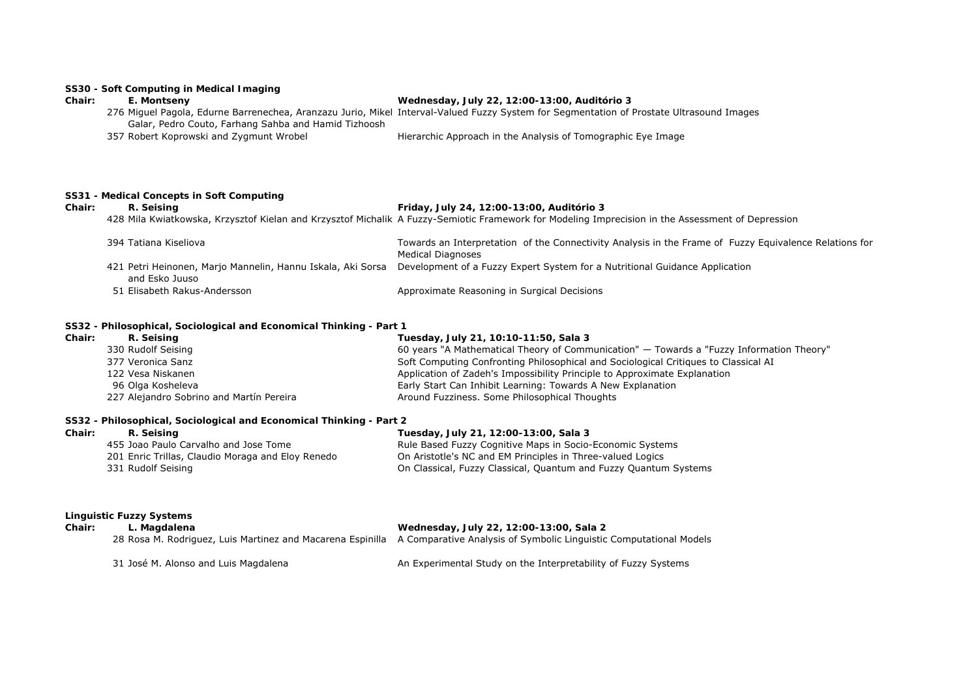# **SS30 - Soft Computing in Medical Imaging**

# **Chair: E. Montseny Wednesday, July 22, 12:00-13:00, Auditório 3**

|                                                      | 276 Miguel Pagola, Edurne Barrenechea, Aranzazu Jurio, Mikel Interval-Valued Fuzzy System for Segmentation of Prostate Ultrasound Images |
|------------------------------------------------------|------------------------------------------------------------------------------------------------------------------------------------------|
| Galar, Pedro Couto, Farhang Sahba and Hamid Tizhoosh |                                                                                                                                          |
| 357 Robert Koprowski and Zygmunt Wrobel              | Hierarchic Approach in the Analysis of Tomographic Eye Image                                                                             |

# **SS31 - Medical Concepts in Soft Computing**

# **Chair: R. Seising Friday, July 24, 12:00-13:00, Auditório 3**

428 Mila Kwiatkowska, Krzysztof Kielan and Krzysztof Michalik A Fuzzy-Semiotic Framework for Modeling Imprecision in the Assessment of Depression

| 394 Tatiana Kiseliova                                       | Towards an Interpretation of the Connectivity Analysis in the Frame of Fuzzy Equivalence Relations for |
|-------------------------------------------------------------|--------------------------------------------------------------------------------------------------------|
|                                                             | Medical Diagnoses                                                                                      |
| 421 Petri Heinonen, Marjo Mannelin, Hannu Iskala, Aki Sorsa | Development of a Fuzzy Expert System for a Nutritional Guidance Application                            |
| and Esko Juuso                                              |                                                                                                        |
| 51 Elisabeth Rakus-Andersson                                | Approximate Reasoning in Surgical Decisions                                                            |

# **SS32 - Philosophical, Sociological and Economical Thinking - Part 1**

| R. Seising                               | Tuesday, July 21, 10:10-11:50, Sala 3                                                    |
|------------------------------------------|------------------------------------------------------------------------------------------|
| 330 Rudolf Seising                       | 60 years "A Mathematical Theory of Communication" — Towards a "Fuzzy Information Theory' |
| 377 Veronica Sanz                        | Soft Computing Confronting Philosophical and Sociological Critiques to Classical AI      |
| 122 Vesa Niskanen                        | Application of Zadeh's Impossibility Principle to Approximate Explanation                |
| 96 Olga Kosheleva                        | Early Start Can Inhibit Learning: Towards A New Explanation                              |
| 227 Alejandro Sobrino and Martín Pereira | Around Fuzziness. Some Philosophical Thoughts                                            |
|                                          |                                                                                          |

# **SS32 - Philosophical, Sociological and Economical Thinking - Part 2**

| Chair: | R. Seising                                        | Tuesday, July 21, 12:00-13:00, Sala 3                            |
|--------|---------------------------------------------------|------------------------------------------------------------------|
|        | 455 Joao Paulo Carvalho and Jose Tome             | Rule Based Fuzzy Cognitive Maps in Socio-Economic Systems        |
|        | 201 Enric Trillas, Claudio Moraga and Eloy Renedo | On Aristotle's NC and EM Principles in Three-valued Logics       |
|        | 331 Rudolf Seising                                | On Classical, Fuzzy Classical, Quantum and Fuzzy Quantum Systems |

### **Linguistic Fuzzy Systems**

| Chair: | L. Magdalena                         | Wednesday, July 22, 12:00-13:00, Sala 2                                                                                       |
|--------|--------------------------------------|-------------------------------------------------------------------------------------------------------------------------------|
|        |                                      | 28 Rosa M. Rodriguez, Luis Martinez and Macarena Espinilla A Comparative Analysis of Symbolic Linguistic Computational Models |
|        | 31 José M. Alonso and Luis Magdalena | An Experimental Study on the Interpretability of Fuzzy Systems                                                                |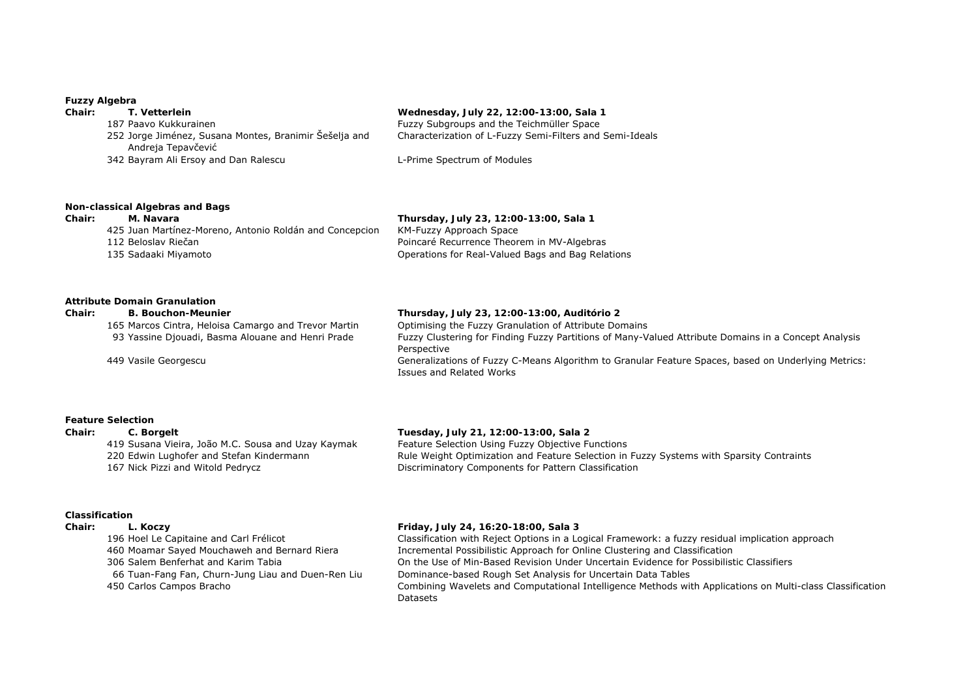### **Fuzzy Algebra**

| Chair: | T. Vetterlein                                                                | Wednesday, July 22, 12:00-13:00, Sala 1                  |
|--------|------------------------------------------------------------------------------|----------------------------------------------------------|
|        | 187 Paavo Kukkurainen                                                        | Fuzzy Subgroups and the Teichmüller Space                |
|        | 252 Jorge Jiménez, Susana Montes, Branimir Šešelja and<br>Andreja Tepavčević | Characterization of L-Fuzzy Semi-Filters and Semi-Ideals |
|        | 342 Bayram Ali Ersoy and Dan Ralescu                                         | L-Prime Spectrum of Modules                              |
|        |                                                                              |                                                          |

# **Non-classical Algebras and Bags**

425 Juan Martínez-Moreno, Antonio Roldán and Concepcion KM-Fuzzy Approach Space 112 Beloslav Riečan Poincaré Recurrence Theorem in MV-Algebras 135 Sadaaki Miyamoto Operations for Real-Valued Bags and Bag Relations

**Chair: M. Navara Thursday, July 23, 12:00-13:00, Sala 1**

# **Attribute Domain Granulation**

# **Chair: B. Bouchon-Meunier Thursday, July 23, 12:00-13:00, Auditório 2**

165 Marcos Cintra, Heloisa Camargo and Trevor Martin Optimising the Fuzzy Granulation of Attribute Domains

93 Yassine Djouadi, Basma Alouane and Henri Prade Fuzzy Clustering for Finding Fuzzy Partitions of Many-Valued Attribute Domains in a Concept Analysis Perspective 449 Vasile Georgescu Generalizations of Fuzzy C-Means Algorithm to Granular Feature Spaces, based on Underlying Metrics: Issues and Related Works

### **Feature Selection**

# **Chair: C. Borgelt Tuesday, July 21, 12:00-13:00, Sala 2**

419 Susana Vieira, João M.C. Sousa and Uzay Kaymak Feature Selection Using Fuzzy Objective Functions 167 Nick Pizzi and Witold Pedrycz Discriminatory Components for Pattern Classification

220 Edwin Lughofer and Stefan Kindermann Rule Weight Optimization and Feature Selection in Fuzzy Systems with Sparsity Contraints

# **Classification**

# **Chair: L. Koczy Friday, July 24, 16:20-18:00, Sala 3**

 Hoel Le Capitaine and Carl Frélicot Classification with Reject Options in a Logical Framework: a fuzzy residual implication approach Moamar Sayed Mouchaweh and Bernard Riera Incremental Possibilistic Approach for Online Clustering and Classification Salem Benferhat and Karim Tabia On the Use of Min-Based Revision Under Uncertain Evidence for Possibilistic Classifiers Tuan-Fang Fan, Churn-Jung Liau and Duen-Ren Liu Dominance-based Rough Set Analysis for Uncertain Data Tables Carlos Campos Bracho Combining Wavelets and Computational Intelligence Methods with Applications on Multi-class Classification Datasets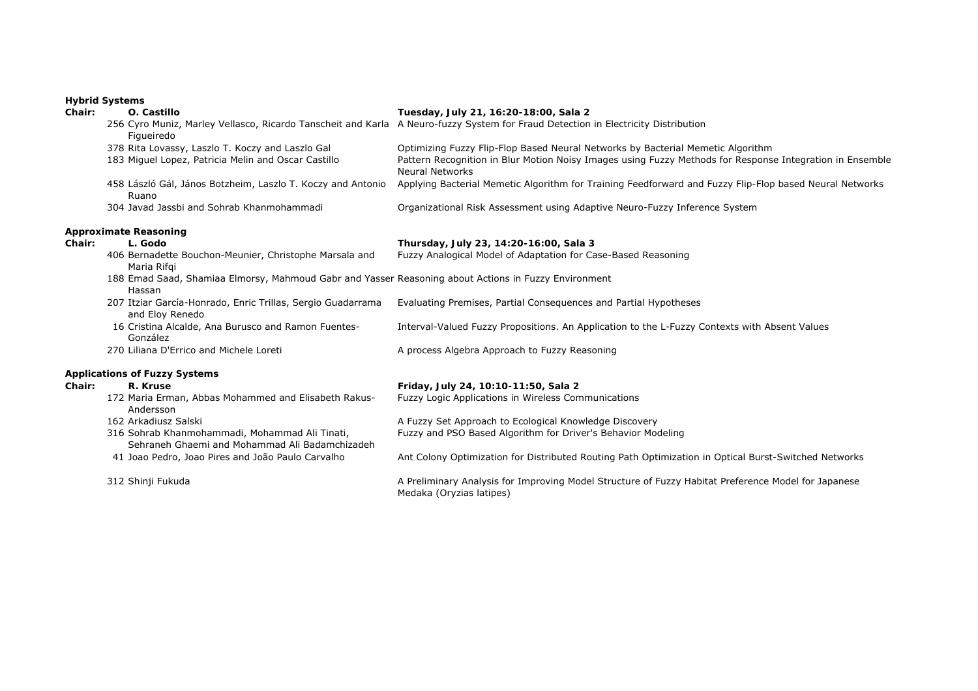# **Hybrid Systems**

| <b>Chair:</b> | O. Castillo                                                                                                    | Tuesday, July 21, 16:20-18:00, Sala 2                                                                                              |
|---------------|----------------------------------------------------------------------------------------------------------------|------------------------------------------------------------------------------------------------------------------------------------|
|               | Figueiredo                                                                                                     | 256 Cyro Muniz, Marley Vellasco, Ricardo Tanscheit and Karla A Neuro-fuzzy System for Fraud Detection in Electricity Distribution  |
|               | 378 Rita Lovassy, Laszlo T. Koczy and Laszlo Gal                                                               | Optimizing Fuzzy Flip-Flop Based Neural Networks by Bacterial Memetic Algorithm                                                    |
|               | 183 Miguel Lopez, Patricia Melin and Oscar Castillo                                                            | Pattern Recognition in Blur Motion Noisy Images using Fuzzy Methods for Response Integration in Ensemble<br><b>Neural Networks</b> |
|               | 458 László Gál, János Botzheim, Laszlo T. Koczy and Antonio<br>Ruano                                           | Applying Bacterial Memetic Algorithm for Training Feedforward and Fuzzy Flip-Flop based Neural Networks                            |
|               | 304 Javad Jassbi and Sohrab Khanmohammadi                                                                      | Organizational Risk Assessment using Adaptive Neuro-Fuzzy Inference System                                                         |
|               | <b>Approximate Reasoning</b>                                                                                   |                                                                                                                                    |
| Chair:        | L. Godo                                                                                                        | Thursday, July 23, 14:20-16:00, Sala 3                                                                                             |
|               | 406 Bernadette Bouchon-Meunier, Christophe Marsala and<br>Maria Rifgi                                          | Fuzzy Analogical Model of Adaptation for Case-Based Reasoning                                                                      |
|               | 188 Emad Saad, Shamiaa Elmorsy, Mahmoud Gabr and Yasser Reasoning about Actions in Fuzzy Environment<br>Hassan |                                                                                                                                    |
|               | 207 Itziar García-Honrado, Enric Trillas, Sergio Guadarrama<br>and Eloy Renedo                                 | Evaluating Premises, Partial Consequences and Partial Hypotheses                                                                   |
|               | 16 Cristina Alcalde, Ana Burusco and Ramon Fuentes-<br>González                                                | Interval-Valued Fuzzy Propositions. An Application to the L-Fuzzy Contexts with Absent Values                                      |
|               | 270 Liliana D'Errico and Michele Loreti                                                                        | A process Algebra Approach to Fuzzy Reasoning                                                                                      |
|               | <b>Applications of Fuzzy Systems</b>                                                                           |                                                                                                                                    |
| Chair:        | R. Kruse                                                                                                       | Friday, July 24, 10:10-11:50, Sala 2                                                                                               |
|               | 172 Maria Erman, Abbas Mohammed and Elisabeth Rakus-<br>Andersson                                              | Fuzzy Logic Applications in Wireless Communications                                                                                |
|               | 162 Arkadiusz Salski                                                                                           | A Fuzzy Set Approach to Ecological Knowledge Discovery                                                                             |
|               | 316 Sohrab Khanmohammadi, Mohammad Ali Tinati,<br>Sehraneh Ghaemi and Mohammad Ali Badamchizadeh               | Fuzzy and PSO Based Algorithm for Driver's Behavior Modeling                                                                       |
|               | 41 Joao Pedro, Joao Pires and João Paulo Carvalho                                                              | Ant Colony Optimization for Distributed Routing Path Optimization in Optical Burst-Switched Networks                               |
|               | 312 Shinji Fukuda                                                                                              | A Preliminary Analysis for Improving Model Structure of Fuzzy Habitat Preference Model for Japanese<br>Medaka (Oryzias latipes)    |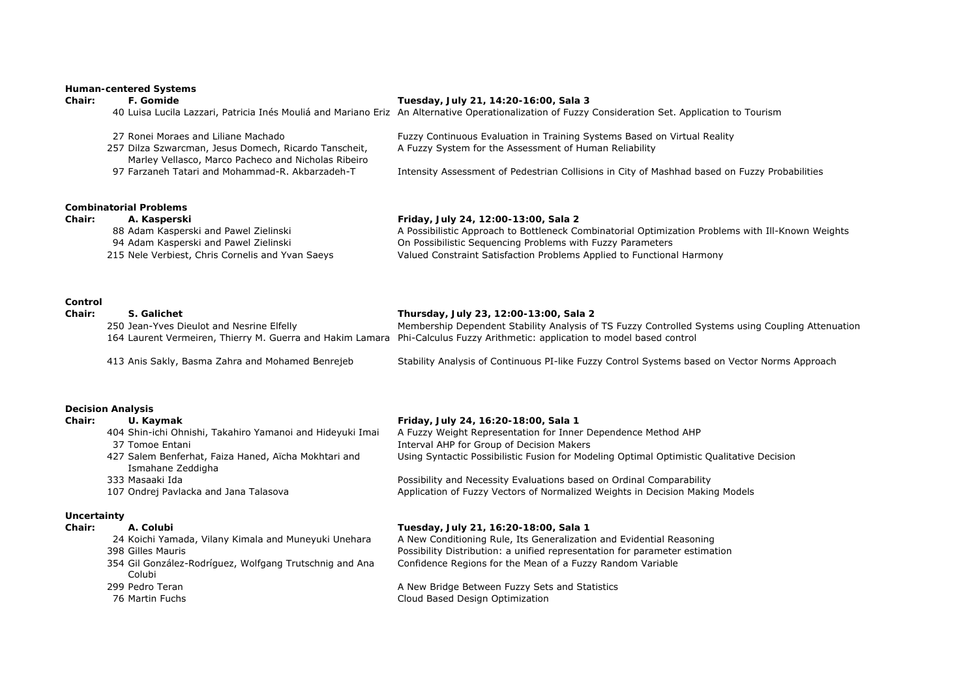# **Human-centered Systems**

# **Chair: F. Gomide Tuesday, July 21, 14:20-16:00, Sala 3**

40 Luisa Lucila Lazzari, Patricia Inés Mouliá and Mariano Eriz An Alternative Operationalization of Fuzzy Consideration Set. Application to Tourism

| 27 Ronei Moraes and Liliane Machado                   | Fuzzy Continuous Evaluation in Training Systems Based on Virtual Reality                      |
|-------------------------------------------------------|-----------------------------------------------------------------------------------------------|
| 257 Dilza Szwarcman, Jesus Domech, Ricardo Tanscheit, | A Fuzzy System for the Assessment of Human Reliability                                        |
| Marley Vellasco, Marco Pacheco and Nicholas Ribeiro   |                                                                                               |
| 97 Farzaneh Tatari and Mohammad-R. Akbarzadeh-T       | Intensity Assessment of Pedestrian Collisions in City of Mashhad based on Fuzzy Probabilities |
|                                                       |                                                                                               |

# **Combinatorial Problems**

| Chair: | A. Kasperski                                     | Friday, July 24, 12:00-13:00, Sala 2                                                              |
|--------|--------------------------------------------------|---------------------------------------------------------------------------------------------------|
|        | 88 Adam Kasperski and Pawel Zielinski            | A Possibilistic Approach to Bottleneck Combinatorial Optimization Problems with Ill-Known Weights |
|        | 94 Adam Kasperski and Pawel Zielinski            | On Possibilistic Sequencing Problems with Fuzzy Parameters                                        |
|        | 215 Nele Verbiest, Chris Cornelis and Yvan Saeys | Valued Constraint Satisfaction Problems Applied to Functional Harmony                             |

## **Control**

| Chair: | S. Galichet                               | Thursday, July 23, 12:00-13:00, Sala 2                                                                                      |
|--------|-------------------------------------------|-----------------------------------------------------------------------------------------------------------------------------|
|        | 250 Jean-Yves Dieulot and Nesrine Elfelly | Membership Dependent Stability Analysis of TS Fuzzy Controlled Systems using Coupling Attenuation                           |
|        |                                           | 164 Laurent Vermeiren, Thierry M. Guerra and Hakim Lamara Phi-Calculus Fuzzy Arithmetic: application to model based control |
|        |                                           |                                                                                                                             |

413 Anis Sakly, Basma Zahra and Mohamed Benrejeb Stability Analysis of Continuous PI-like Fuzzy Control Systems based on Vector Norms Approach

# **Decision Analysis**

| U. Kaymak                                                 | Friday, July 24, 16:20-18:00, Sala 1                                                      |
|-----------------------------------------------------------|-------------------------------------------------------------------------------------------|
| 404 Shin-ichi Ohnishi, Takahiro Yamanoi and Hideyuki Imai | A Fuzzy Weight Representation for Inner Dependence Method AHP                             |
| 37 Tomoe Entani                                           | Interval AHP for Group of Decision Makers                                                 |
| 427 Salem Benferhat, Faiza Haned, Aïcha Mokhtari and      | Using Syntactic Possibilistic Fusion for Modeling Optimal Optimistic Qualitative Decision |
| Ismahane Zeddigha                                         |                                                                                           |
| 333 Masaaki Ida                                           | Possibility and Necessity Evaluations based on Ordinal Comparability                      |
| 107 Ondrej Pavlacka and Jana Talasova                     | Application of Fuzzy Vectors of Normalized Weights in Decision Making Models              |
|                                                           |                                                                                           |
|                                                           |                                                                                           |

# **Uncertainty**

| Chair: | A. Colubi                                                         | Tuesday, July 21, 16:20-18:00, Sala 1                                       |
|--------|-------------------------------------------------------------------|-----------------------------------------------------------------------------|
|        | 24 Koichi Yamada, Vilany Kimala and Muneyuki Unehara              | A New Conditioning Rule, Its Generalization and Evidential Reasoning        |
|        | 398 Gilles Mauris                                                 | Possibility Distribution: a unified representation for parameter estimation |
|        | 354 Gil González-Rodríguez, Wolfgang Trutschnig and Ana<br>Colubi | Confidence Regions for the Mean of a Fuzzy Random Variable                  |
|        | 299 Pedro Teran                                                   | A New Bridge Between Fuzzy Sets and Statistics                              |

76 Martin Fuchs Cloud Based Design Optimization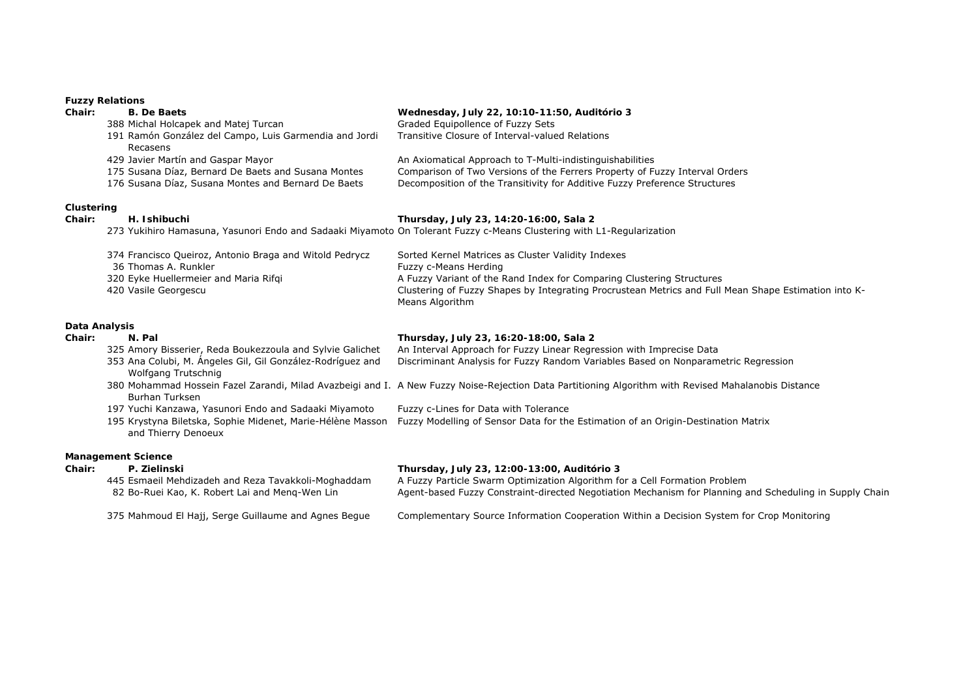# **Fuzzy Relations**

|               | <b>FULLY REIGHUIS</b>                                                                                                 |                                                                                                                                                      |
|---------------|-----------------------------------------------------------------------------------------------------------------------|------------------------------------------------------------------------------------------------------------------------------------------------------|
| Chair:        | <b>B.</b> De Baets                                                                                                    | Wednesday, July 22, 10:10-11:50, Auditório 3                                                                                                         |
|               | 388 Michal Holcapek and Matej Turcan                                                                                  | Graded Equipollence of Fuzzy Sets                                                                                                                    |
|               | 191 Ramón González del Campo, Luis Garmendia and Jordi<br>Recasens                                                    | Transitive Closure of Interval-valued Relations                                                                                                      |
|               | 429 Javier Martín and Gaspar Mayor                                                                                    | An Axiomatical Approach to T-Multi-indistinguishabilities                                                                                            |
|               | 175 Susana Díaz, Bernard De Baets and Susana Montes                                                                   | Comparison of Two Versions of the Ferrers Property of Fuzzy Interval Orders                                                                          |
|               | 176 Susana Díaz, Susana Montes and Bernard De Baets                                                                   | Decomposition of the Transitivity for Additive Fuzzy Preference Structures                                                                           |
| Clustering    |                                                                                                                       |                                                                                                                                                      |
| Chair:        | H. Ishibuchi                                                                                                          | Thursday, July 23, 14:20-16:00, Sala 2                                                                                                               |
|               | 273 Yukihiro Hamasuna, Yasunori Endo and Sadaaki Miyamoto On Tolerant Fuzzy c-Means Clustering with L1-Regularization |                                                                                                                                                      |
|               | 374 Francisco Queiroz, Antonio Braga and Witold Pedrycz                                                               | Sorted Kernel Matrices as Cluster Validity Indexes                                                                                                   |
|               | 36 Thomas A. Runkler                                                                                                  | Fuzzy c-Means Herding                                                                                                                                |
|               | 320 Eyke Huellermeier and Maria Rifqi                                                                                 | A Fuzzy Variant of the Rand Index for Comparing Clustering Structures                                                                                |
|               | 420 Vasile Georgescu                                                                                                  | Clustering of Fuzzy Shapes by Integrating Procrustean Metrics and Full Mean Shape Estimation into K-<br>Means Algorithm                              |
| Data Analysis |                                                                                                                       |                                                                                                                                                      |
| Chair:        | N. Pal                                                                                                                | Thursday, July 23, 16:20-18:00, Sala 2                                                                                                               |
|               | 325 Amory Bisserier, Reda Boukezzoula and Sylvie Galichet                                                             | An Interval Approach for Fuzzy Linear Regression with Imprecise Data                                                                                 |
|               | 353 Ana Colubi, M. Ángeles Gil, Gil González-Rodríguez and<br>Wolfgang Trutschnig                                     | Discriminant Analysis for Fuzzy Random Variables Based on Nonparametric Regression                                                                   |
|               | <b>Burhan Turksen</b>                                                                                                 | 380 Mohammad Hossein Fazel Zarandi, Milad Avazbeigi and I. A New Fuzzy Noise-Rejection Data Partitioning Algorithm with Revised Mahalanobis Distance |
|               | 197 Yuchi Kanzawa, Yasunori Endo and Sadaaki Miyamoto                                                                 | Fuzzy c-Lines for Data with Tolerance                                                                                                                |
|               | 195 Krystyna Biletska, Sophie Midenet, Marie-Hélène Masson<br>and Thierry Denoeux                                     | Fuzzy Modelling of Sensor Data for the Estimation of an Origin-Destination Matrix                                                                    |
|               | <b>Management Science</b>                                                                                             |                                                                                                                                                      |
| Chair:        | P. Zielinski                                                                                                          | Thursday, July 23, 12:00-13:00, Auditório 3                                                                                                          |
|               | 445 Esmaeil Mehdizadeh and Reza Tavakkoli-Moghaddam                                                                   | A Fuzzy Particle Swarm Optimization Algorithm for a Cell Formation Problem                                                                           |
|               | 82 Bo-Ruei Kao, K. Robert Lai and Meng-Wen Lin                                                                        | Agent-based Fuzzy Constraint-directed Negotiation Mechanism for Planning and Scheduling in Supply Chain                                              |
|               | 375 Mahmoud El Hajj, Serge Guillaume and Agnes Beque                                                                  | Complementary Source Information Cooperation Within a Decision System for Crop Monitoring                                                            |